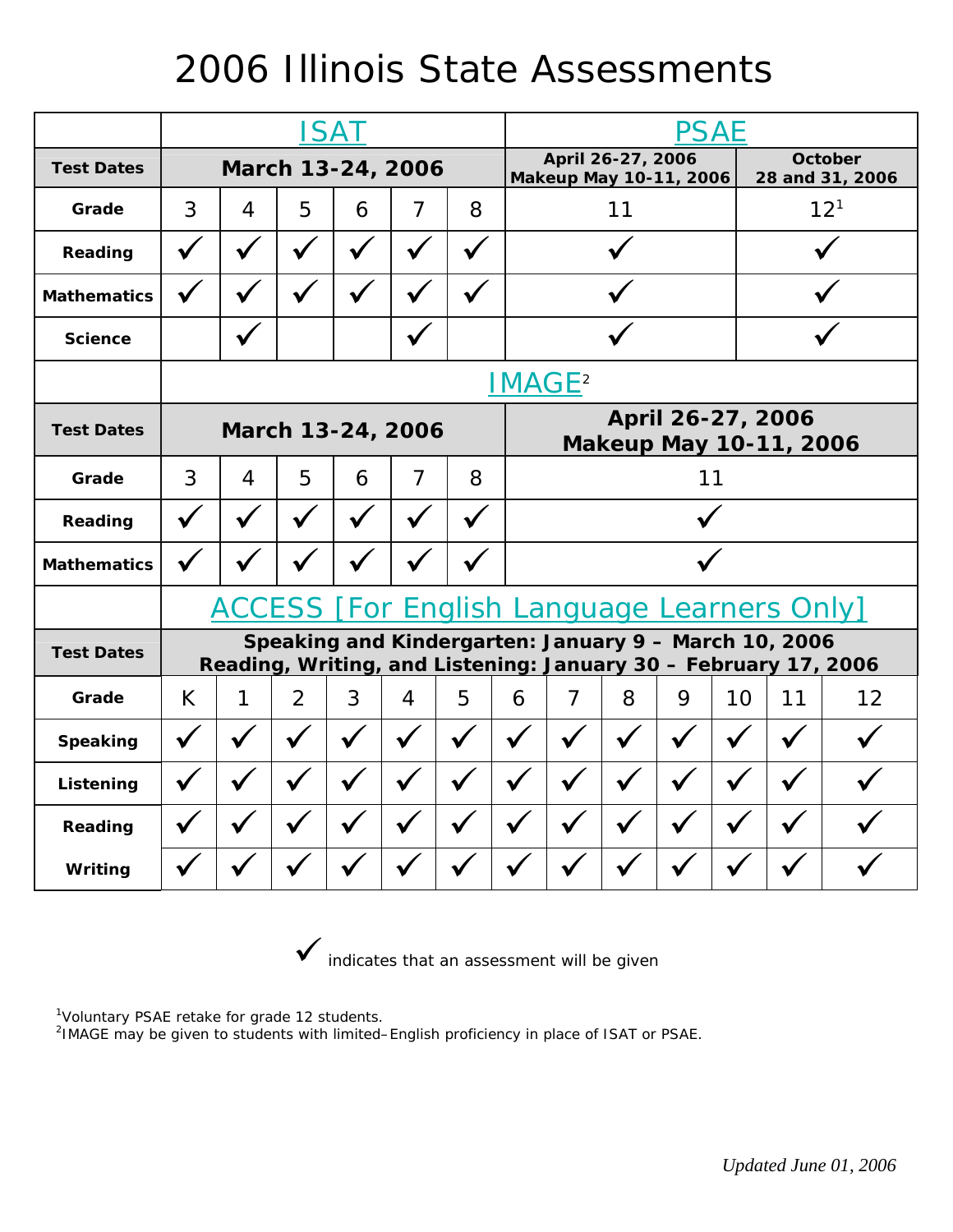## 2006 Illinois State Assessments

|                    | <b>ISAT</b>                                                                                                              |   |   |   |                |   |    | <b>PSAE</b>                                        |   |   |          |                            |    |  |
|--------------------|--------------------------------------------------------------------------------------------------------------------------|---|---|---|----------------|---|----|----------------------------------------------------|---|---|----------|----------------------------|----|--|
| <b>Test Dates</b>  | March 13-24, 2006                                                                                                        |   |   |   |                |   |    | April 26-27, 2006<br>Makeup May 10-11, 2006        |   |   |          | October<br>28 and 31, 2006 |    |  |
| Grade              | 3                                                                                                                        | 4 | 5 | 6 | $\overline{7}$ | 8 | 11 |                                                    |   |   | $12^{1}$ |                            |    |  |
| Reading            |                                                                                                                          |   |   |   |                |   |    |                                                    |   |   |          |                            |    |  |
| <b>Mathematics</b> |                                                                                                                          |   |   |   |                |   |    |                                                    |   |   |          |                            |    |  |
| <b>Science</b>     |                                                                                                                          |   |   |   |                |   |    |                                                    |   |   |          |                            |    |  |
|                    | <b>IMAGE<sup>2</sup></b>                                                                                                 |   |   |   |                |   |    |                                                    |   |   |          |                            |    |  |
| <b>Test Dates</b>  | March 13-24, 2006                                                                                                        |   |   |   |                |   |    | April 26-27, 2006<br><b>Makeup May 10-11, 2006</b> |   |   |          |                            |    |  |
| Grade              | 3                                                                                                                        | 4 | 5 | 6 | 7              | 8 | 11 |                                                    |   |   |          |                            |    |  |
| Reading            |                                                                                                                          |   |   |   |                |   |    |                                                    |   |   |          |                            |    |  |
| <b>Mathematics</b> |                                                                                                                          |   |   |   |                |   |    |                                                    |   |   |          |                            |    |  |
|                    | <b>ACCESS [For English Language Learners Only]</b>                                                                       |   |   |   |                |   |    |                                                    |   |   |          |                            |    |  |
| <b>Test Dates</b>  | Speaking and Kindergarten: January 9 - March 10, 2006<br>Reading, Writing, and Listening: January 30 - February 17, 2006 |   |   |   |                |   |    |                                                    |   |   |          |                            |    |  |
| Grade              | K.                                                                                                                       | 1 | 2 | 3 | $\overline{4}$ | 5 | 6  | $\overline{7}$                                     | 8 | 9 | 10       | 11                         | 12 |  |
| <b>Speaking</b>    |                                                                                                                          |   |   |   |                |   |    |                                                    |   |   |          |                            |    |  |
| Listening          |                                                                                                                          |   |   |   |                |   |    |                                                    |   |   |          |                            |    |  |
| Reading            |                                                                                                                          |   |   |   |                |   |    |                                                    |   |   |          |                            |    |  |
| Writing            |                                                                                                                          |   |   |   |                |   |    |                                                    |   |   |          |                            |    |  |

 $\checkmark$  indicates that an assessment will be given

<sup>1</sup>Voluntary PSAE retake for grade 12 students.

2 IMAGE may be given to students with limited–English proficiency in place of ISAT or PSAE.